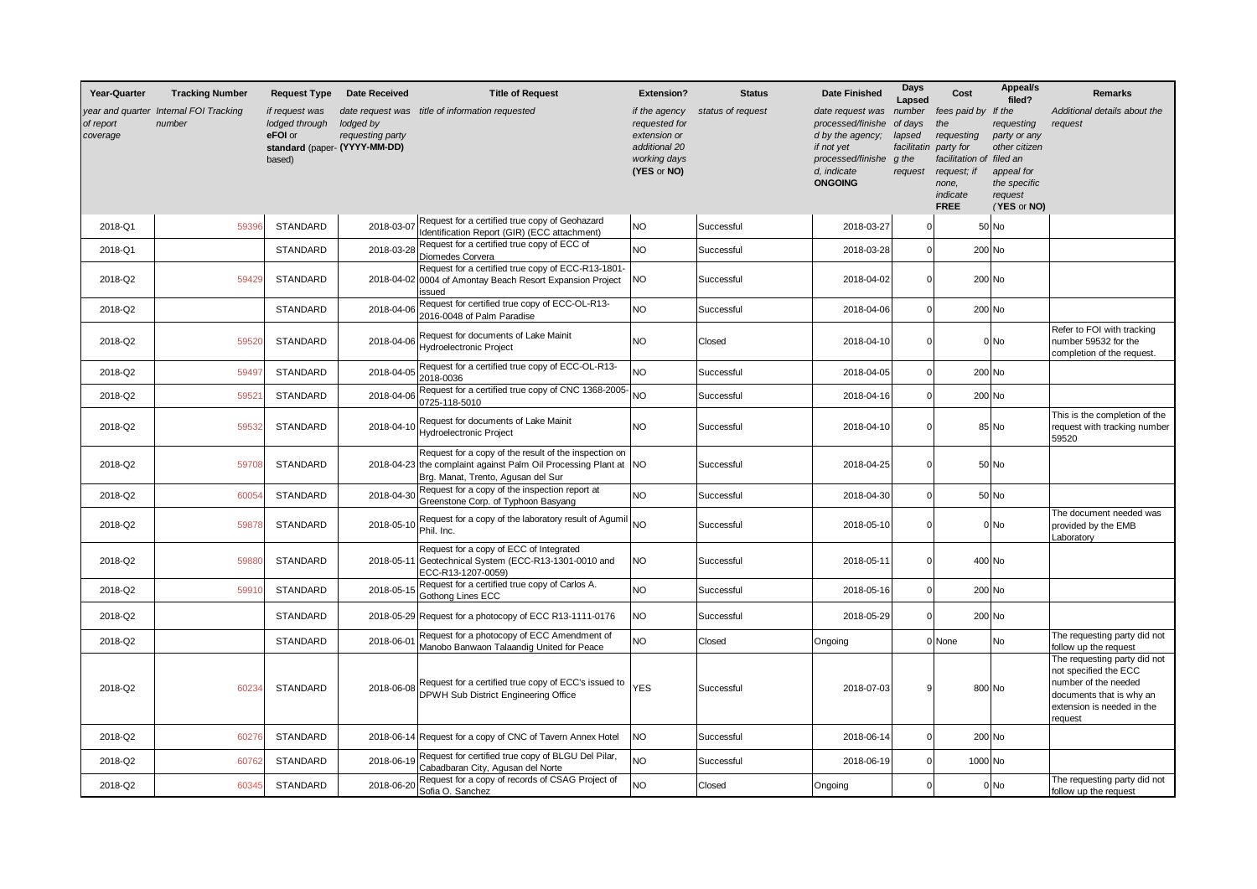| Year-Quarter          | <b>Tracking Number</b>                           | <b>Request Type</b>                                   | <b>Date Received</b>                                           | <b>Title of Request</b>                                                                                                                                         | <b>Extension?</b>                                                                              | <b>Status</b>     | <b>Date Finished</b>                                                                                                          | Days<br>Lapsed                                                 | Cost                                                                                                                                 | Appeal/s<br>filed?                                                                                  | <b>Remarks</b>                                                                                                                                     |
|-----------------------|--------------------------------------------------|-------------------------------------------------------|----------------------------------------------------------------|-----------------------------------------------------------------------------------------------------------------------------------------------------------------|------------------------------------------------------------------------------------------------|-------------------|-------------------------------------------------------------------------------------------------------------------------------|----------------------------------------------------------------|--------------------------------------------------------------------------------------------------------------------------------------|-----------------------------------------------------------------------------------------------------|----------------------------------------------------------------------------------------------------------------------------------------------------|
| of report<br>coverage | year and quarter Internal FOI Tracking<br>number | if request was<br>lodged through<br>eFOI or<br>based) | lodged by<br>requesting party<br>standard (paper- (YYYY-MM-DD) | date request was title of information requested                                                                                                                 | if the agency<br>requested for<br>extension or<br>additional 20<br>working days<br>(YES or NO) | status of request | date request was<br>processed/finishe<br>d by the agency;<br>if not yet<br>processed/finishe<br>d, indicate<br><b>ONGOING</b> | number<br>of days<br>lapsed<br>facilitatin<br>g the<br>request | fees paid by If the<br>the<br>requesting<br>party for<br>facilitation of filed an<br>request; if<br>none,<br>indicate<br><b>FREE</b> | requesting<br>party or any<br>other citizen<br>appeal for<br>the specific<br>request<br>(YES or NO) | Additional details about the<br>request                                                                                                            |
| 2018-Q1               | 59396                                            | STANDARD                                              | 2018-03-07                                                     | Request for a certified true copy of Geohazard<br>Identification Report (GIR) (ECC attachment)                                                                  | NO                                                                                             | Successful        | 2018-03-27                                                                                                                    | C                                                              |                                                                                                                                      | $50$ No                                                                                             |                                                                                                                                                    |
| 2018-Q1               |                                                  | <b>STANDARD</b>                                       | 2018-03-28                                                     | Request for a certified true copy of ECC of<br>Diomedes Corvera                                                                                                 | <b>NO</b>                                                                                      | Successful        | 2018-03-28                                                                                                                    | $\overline{0}$                                                 |                                                                                                                                      | 200 No                                                                                              |                                                                                                                                                    |
| 2018-Q2               | 59429                                            | STANDARD                                              |                                                                | Request for a certified true copy of ECC-R13-1801-<br>2018-04-02 0004 of Amontay Beach Resort Expansion Project<br>issued                                       | N <sub>O</sub>                                                                                 | Successful        | 2018-04-02                                                                                                                    | $\Omega$                                                       |                                                                                                                                      | 200 No                                                                                              |                                                                                                                                                    |
| 2018-Q2               |                                                  | STANDARD                                              | 2018-04-06                                                     | Request for certified true copy of ECC-OL-R13-<br>2016-0048 of Palm Paradise                                                                                    | <b>NO</b>                                                                                      | Successful        | 2018-04-06                                                                                                                    | $\Omega$                                                       |                                                                                                                                      | 200 No                                                                                              |                                                                                                                                                    |
| 2018-Q2               | 59520                                            | STANDARD                                              | 2018-04-06                                                     | Request for documents of Lake Mainit<br><b>Hydroelectronic Project</b>                                                                                          | <b>NO</b>                                                                                      | Closed            | 2018-04-10                                                                                                                    | $\Omega$                                                       |                                                                                                                                      | $0$ No                                                                                              | Refer to FOI with tracking<br>number 59532 for the<br>completion of the request.                                                                   |
| 2018-Q2               | 5949                                             | <b>STANDARD</b>                                       | 2018-04-05                                                     | Request for a certified true copy of ECC-OL-R13-<br>2018-0036                                                                                                   | <b>NO</b>                                                                                      | Successful        | 2018-04-05                                                                                                                    | $\Omega$                                                       |                                                                                                                                      | 200 No                                                                                              |                                                                                                                                                    |
| 2018-Q2               | 5952                                             | <b>STANDARD</b>                                       | 2018-04-06                                                     | Request for a certified true copy of CNC 1368-2005<br>0725-118-5010                                                                                             | <b>NO</b>                                                                                      | Successful        | 2018-04-16                                                                                                                    | $\Omega$                                                       |                                                                                                                                      | 200 No                                                                                              |                                                                                                                                                    |
| 2018-Q2               | 59532                                            | <b>STANDARD</b>                                       | 2018-04-10                                                     | Request for documents of Lake Mainit<br>Hydroelectronic Project                                                                                                 | <b>NO</b>                                                                                      | Successful        | 2018-04-10                                                                                                                    | $\Omega$                                                       |                                                                                                                                      | 85 No                                                                                               | This is the completion of the<br>request with tracking number<br>59520                                                                             |
| 2018-Q2               | 59708                                            | STANDARD                                              |                                                                | Request for a copy of the result of the inspection on<br>2018-04-23 the complaint against Palm Oil Processing Plant at NO<br>Brg. Manat, Trento, Agusan del Sur |                                                                                                | Successful        | 2018-04-25                                                                                                                    | $\Omega$                                                       |                                                                                                                                      | 50 No                                                                                               |                                                                                                                                                    |
| 2018-Q2               | 60054                                            | STANDARD                                              | 2018-04-30                                                     | Request for a copy of the inspection report at<br>Greenstone Corp. of Typhoon Basyang                                                                           | <b>NO</b>                                                                                      | Successful        | 2018-04-30                                                                                                                    | $\Omega$                                                       |                                                                                                                                      | 50 No                                                                                               |                                                                                                                                                    |
| 2018-Q2               | 5987                                             | STANDARD                                              | 2018-05-10                                                     | Request for a copy of the laboratory result of Agumil<br>Phil. Inc.                                                                                             | <b>NO</b>                                                                                      | Successful        | 2018-05-10                                                                                                                    | $\Omega$                                                       |                                                                                                                                      | 0 No                                                                                                | The document needed was<br>provided by the EMB<br>Laboratory                                                                                       |
| 2018-Q2               | 59880                                            | STANDARD                                              | 2018-05-11                                                     | Request for a copy of ECC of Integrated<br>Geotechnical System (ECC-R13-1301-0010 and<br>ECC-R13-1207-0059)                                                     | N <sub>O</sub>                                                                                 | Successful        | 2018-05-11                                                                                                                    | $\Omega$                                                       |                                                                                                                                      | 400 No                                                                                              |                                                                                                                                                    |
| 2018-Q2               | 5991                                             | <b>STANDARD</b>                                       | 2018-05-15                                                     | Request for a certified true copy of Carlos A.<br>Gothong Lines ECC                                                                                             | <b>NO</b>                                                                                      | Successful        | 2018-05-16                                                                                                                    | $\Omega$                                                       |                                                                                                                                      | 200 No                                                                                              |                                                                                                                                                    |
| 2018-Q2               |                                                  | STANDARD                                              |                                                                | 2018-05-29 Request for a photocopy of ECC R13-1111-0176                                                                                                         | N <sub>O</sub>                                                                                 | Successful        | 2018-05-29                                                                                                                    | $\Omega$                                                       |                                                                                                                                      | 200 No                                                                                              |                                                                                                                                                    |
| 2018-Q2               |                                                  | STANDARD                                              | 2018-06-01                                                     | Request for a photocopy of ECC Amendment of<br>Manobo Banwaon Talaandig United for Peace                                                                        | <b>NO</b>                                                                                      | Closed            | Ongoing                                                                                                                       |                                                                | 0 None                                                                                                                               | No                                                                                                  | The requesting party did not<br>follow up the request                                                                                              |
| 2018-Q2               | 6023                                             | STANDARD                                              | 2018-06-08                                                     | Request for a certified true copy of ECC's issued to<br>DPWH Sub District Engineering Office                                                                    | <b>YES</b>                                                                                     | Successful        | 2018-07-03                                                                                                                    | 9                                                              |                                                                                                                                      | 800 No                                                                                              | The requesting party did not<br>not specified the ECC<br>number of the needed<br>documents that is why an<br>extension is needed in the<br>request |
| 2018-Q2               | 6027                                             | <b>STANDARD</b>                                       |                                                                | 2018-06-14 Request for a copy of CNC of Tavern Annex Hotel                                                                                                      | <b>NO</b>                                                                                      | Successful        | 2018-06-14                                                                                                                    | $\Omega$                                                       |                                                                                                                                      | 200 No                                                                                              |                                                                                                                                                    |
| 2018-Q2               | 60762                                            | STANDARD                                              | 2018-06-19                                                     | Request for certified true copy of BLGU Del Pilar,<br>Cabadbaran City, Agusan del Norte                                                                         | <b>NO</b>                                                                                      | Successful        | 2018-06-19                                                                                                                    | $\Omega$                                                       | 1000 No                                                                                                                              |                                                                                                     |                                                                                                                                                    |
| 2018-Q2               | 6034                                             | <b>STANDARD</b>                                       | 2018-06-20                                                     | Request for a copy of records of CSAG Project of<br>Sofia O. Sanchez                                                                                            | <b>NO</b>                                                                                      | Closed            | Ongoing                                                                                                                       | $\Omega$                                                       |                                                                                                                                      | 0 <sub>No</sub>                                                                                     | The requesting party did not<br>follow up the request                                                                                              |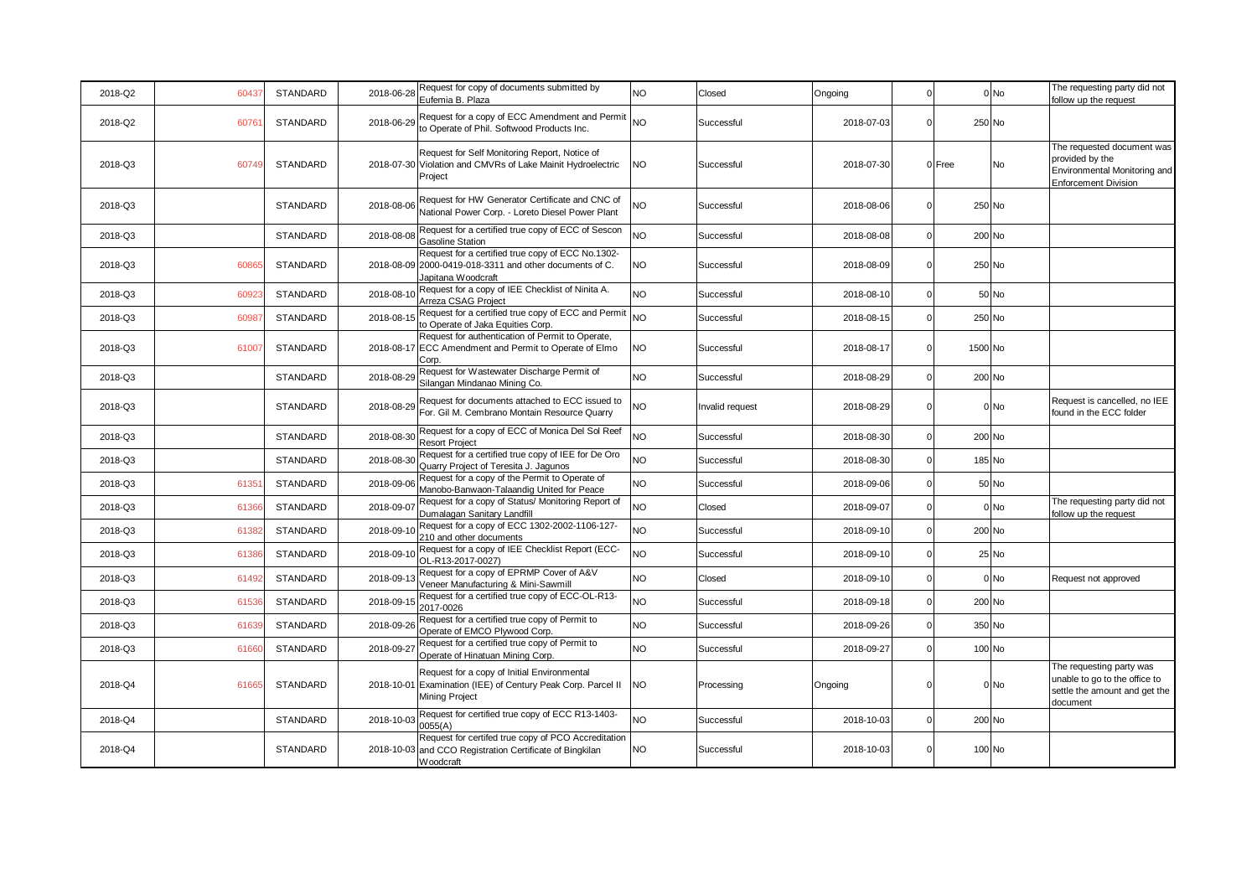| 2018-Q2 | 60437 | STANDARD        | 2018-06-28 | Request for copy of documents submitted by<br>Eufemia B. Plaza                                                                       | <b>NO</b> | Closed          | Ongoing    | $\mathbf 0$    |         | 0 No   | The requesting party did not<br>follow up the request                                                        |
|---------|-------|-----------------|------------|--------------------------------------------------------------------------------------------------------------------------------------|-----------|-----------------|------------|----------------|---------|--------|--------------------------------------------------------------------------------------------------------------|
| 2018-Q2 | 60761 | STANDARD        | 2018-06-29 | Request for a copy of ECC Amendment and Permit<br>to Operate of Phil. Softwood Products Inc.                                         | NO        | Successful      | 2018-07-03 | $\Omega$       | 250 No  |        |                                                                                                              |
| 2018-Q3 | 60749 | STANDARD        |            | Request for Self Monitoring Report, Notice of<br>2018-07-30 Violation and CMVRs of Lake Mainit Hydroelectric<br>Project              | NO        | Successful      | 2018-07-30 |                | 0 Free  | No     | The requested document was<br>provided by the<br>Environmental Monitoring and<br><b>Enforcement Division</b> |
| 2018-Q3 |       | <b>STANDARD</b> | 2018-08-06 | Request for HW Generator Certificate and CNC of<br>National Power Corp. - Loreto Diesel Power Plant                                  | NO        | Successful      | 2018-08-06 | $\overline{0}$ | 250 No  |        |                                                                                                              |
| 2018-Q3 |       | <b>STANDARD</b> | 2018-08-08 | Request for a certified true copy of ECC of Sescon<br><b>Gasoline Station</b>                                                        | NO        | Successful      | 2018-08-08 | $\overline{0}$ |         | 200 No |                                                                                                              |
| 2018-Q3 | 60865 | STANDARD        |            | Request for a certified true copy of ECC No.1302-<br>2018-08-09 2000-0419-018-3311 and other documents of C.<br>Japitana Woodcraft   | NO.       | Successful      | 2018-08-09 | $\mathbf 0$    | 250 No  |        |                                                                                                              |
| 2018-Q3 | 60923 | STANDARD        | 2018-08-10 | Request for a copy of IEE Checklist of Ninita A.<br>Arreza CSAG Project                                                              | NO        | Successful      | 2018-08-10 | $\mathbf 0$    |         | 50 No  |                                                                                                              |
| 2018-Q3 | 60987 | STANDARD        | 2018-08-15 | Request for a certified true copy of ECC and Permit<br>to Operate of Jaka Equities Corp.                                             | <b>NO</b> | Successful      | 2018-08-15 | $\Omega$       |         | 250 No |                                                                                                              |
| 2018-Q3 | 61007 | STANDARD        |            | Request for authentication of Permit to Operate,<br>2018-08-17 ECC Amendment and Permit to Operate of Elmo<br>Corp.                  | NO        | Successful      | 2018-08-17 | $\mathbf 0$    | 1500 No |        |                                                                                                              |
| 2018-Q3 |       | STANDARD        | 2018-08-29 | Request for Wastewater Discharge Permit of<br>Silangan Mindanao Mining Co.                                                           | NO        | Successful      | 2018-08-29 | $\mathbf 0$    |         | 200 No |                                                                                                              |
| 2018-Q3 |       | STANDARD        |            | 2018-08-29 Request for documents attached to ECC issued to<br>For. Gil M. Cembrano Montain Resource Quarry                           | NΟ        | Invalid request | 2018-08-29 | $\mathbf 0$    |         | 0 No   | Request is cancelled, no IEE<br>found in the ECC folder                                                      |
| 2018-Q3 |       | STANDARD        | 2018-08-30 | Request for a copy of ECC of Monica Del Sol Reef<br><b>Resort Project</b>                                                            | NO        | Successful      | 2018-08-30 | $\Omega$       | 200 No  |        |                                                                                                              |
| 2018-Q3 |       | STANDARD        | 2018-08-30 | Request for a certified true copy of IEE for De Oro<br>Quarry Project of Teresita J. Jaqunos                                         | NO        | Successful      | 2018-08-30 | $\mathbf 0$    |         | 185 No |                                                                                                              |
| 2018-Q3 | 61351 | <b>STANDARD</b> | 2018-09-06 | Request for a copy of the Permit to Operate of<br>Manobo-Banwaon-Talaandig United for Peace                                          | NO        | Successful      | 2018-09-06 | $\mathbf 0$    |         | 50 No  |                                                                                                              |
| 2018-Q3 | 61366 | STANDARD        | 2018-09-07 | Request for a copy of Status/ Monitoring Report of<br>Dumalagan Sanitary Landfill                                                    | NO        | Closed          | 2018-09-07 | $\mathbf 0$    |         | $0$ No | The requesting party did not<br>follow up the request                                                        |
| 2018-Q3 | 61382 | STANDARD        | 2018-09-10 | Request for a copy of ECC 1302-2002-1106-127-<br>210 and other documents                                                             | <b>NO</b> | Successful      | 2018-09-10 | $\mathbf 0$    |         | 200 No |                                                                                                              |
| 2018-Q3 | 61386 | STANDARD        | 2018-09-10 | Request for a copy of IEE Checklist Report (ECC-<br>OL-R13-2017-0027)                                                                | NO        | Successful      | 2018-09-10 | $\Omega$       |         | 25 No  |                                                                                                              |
| 2018-Q3 | 61492 | STANDARD        | 2018-09-13 | Request for a copy of EPRMP Cover of A&V<br>Veneer Manufacturing & Mini-Sawmill                                                      | <b>NO</b> | Closed          | 2018-09-10 | $\mathbf{0}$   |         | 0 No   | Request not approved                                                                                         |
| 2018-Q3 | 61536 | <b>STANDARD</b> | 2018-09-15 | Request for a certified true copy of ECC-OL-R13-<br>2017-0026                                                                        | NO        | Successful      | 2018-09-18 | $\Omega$       |         | 200 No |                                                                                                              |
| 2018-Q3 | 61639 | STANDARD        | 2018-09-26 | Request for a certified true copy of Permit to<br>Operate of EMCO Plywood Corp.                                                      | <b>NO</b> | Successful      | 2018-09-26 | $\mathbf 0$    |         | 350 No |                                                                                                              |
| 2018-Q3 | 61660 | STANDARD        | 2018-09-27 | Request for a certified true copy of Permit to<br>Operate of Hinatuan Mining Corp.                                                   | NO        | Successful      | 2018-09-27 | $\Omega$       |         | 100 No |                                                                                                              |
| 2018-Q4 | 61665 | STANDARD        |            | Request for a copy of Initial Environmental<br>2018-10-01 Examination (IEE) of Century Peak Corp. Parcel II<br><b>Mining Project</b> | NO        | Processing      | Ongoing    | $\Omega$       |         | 0 No   | The requesting party was<br>unable to go to the office to<br>settle the amount and get the<br>document       |
| 2018-Q4 |       | STANDARD        | 2018-10-03 | Request for certified true copy of ECC R13-1403-<br>0055(A)                                                                          | NO        | Successful      | 2018-10-03 | $\mathbf 0$    | 200 No  |        |                                                                                                              |
| 2018-Q4 |       | <b>STANDARD</b> |            | Request for certifed true copy of PCO Accreditation<br>2018-10-03 and CCO Registration Certificate of Bingkilan<br>Woodcraft         | <b>NO</b> | Successful      | 2018-10-03 | $\Omega$       |         | 100 No |                                                                                                              |